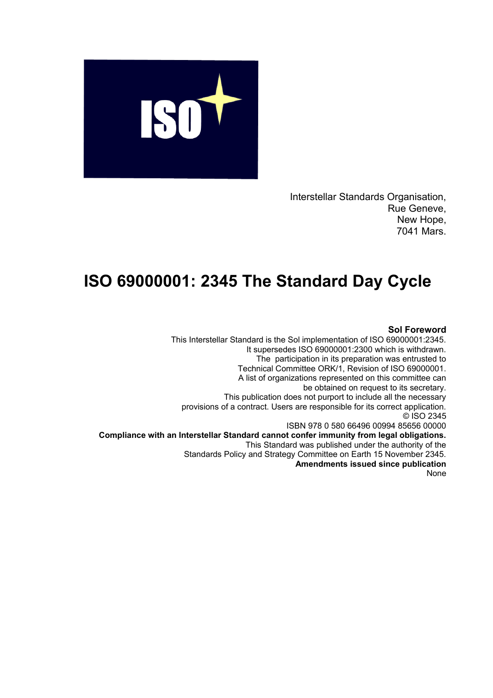

Interstellar Standards Organisation, Rue Geneve, New Hope, 7041 Mars.

## **ISO 69000001: 2345 The Standard Day Cycle**

## **Sol Foreword**

This Interstellar Standard is the Sol implementation of ISO 69000001:2345. It supersedes ISO 69000001:2300 which is withdrawn. The participation in its preparation was entrusted to Technical Committee ORK/1, Revision of ISO 69000001. A list of organizations represented on this committee can be obtained on request to its secretary. This publication does not purport to include all the necessary provisions of a contract. Users are responsible for its correct application. © ISO 2345 ISBN 978 0 580 66496 00994 85656 00000 **Compliance with an Interstellar Standard cannot confer immunity from legal obligations.** This Standard was published under the authority of the Standards Policy and Strategy Committee on Earth 15 November 2345. **Amendments issued since publication** None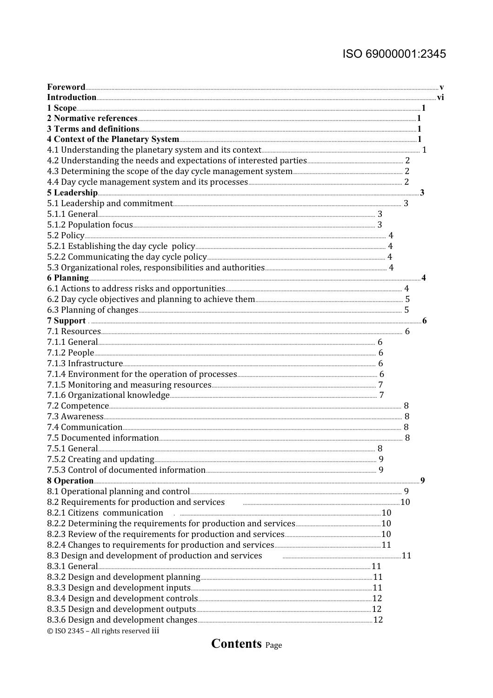## ISO 69000001:2345

| 8.1 Operational planning and control <b>Election Control</b> 2014 12:00 12:00 13:00 14:00 14:00 14:00 15:00 16:00 16:00 16:00 16:00 16:00 16:00 16:00 16:00 16:00 16:00 16:00 16:00 16:00 16:00 16:00 16:00 16:00 16:00 16:00 16:00<br>8.2 Requirements for production and services <b>Fig. 2.2</b> Requirements for production and services<br>8.2.1 Citizens communication |  |  |
|------------------------------------------------------------------------------------------------------------------------------------------------------------------------------------------------------------------------------------------------------------------------------------------------------------------------------------------------------------------------------|--|--|
|                                                                                                                                                                                                                                                                                                                                                                              |  |  |
|                                                                                                                                                                                                                                                                                                                                                                              |  |  |
|                                                                                                                                                                                                                                                                                                                                                                              |  |  |
|                                                                                                                                                                                                                                                                                                                                                                              |  |  |
|                                                                                                                                                                                                                                                                                                                                                                              |  |  |
|                                                                                                                                                                                                                                                                                                                                                                              |  |  |
|                                                                                                                                                                                                                                                                                                                                                                              |  |  |
|                                                                                                                                                                                                                                                                                                                                                                              |  |  |
|                                                                                                                                                                                                                                                                                                                                                                              |  |  |
|                                                                                                                                                                                                                                                                                                                                                                              |  |  |
|                                                                                                                                                                                                                                                                                                                                                                              |  |  |
|                                                                                                                                                                                                                                                                                                                                                                              |  |  |
|                                                                                                                                                                                                                                                                                                                                                                              |  |  |
|                                                                                                                                                                                                                                                                                                                                                                              |  |  |
|                                                                                                                                                                                                                                                                                                                                                                              |  |  |
|                                                                                                                                                                                                                                                                                                                                                                              |  |  |
|                                                                                                                                                                                                                                                                                                                                                                              |  |  |
|                                                                                                                                                                                                                                                                                                                                                                              |  |  |
|                                                                                                                                                                                                                                                                                                                                                                              |  |  |
|                                                                                                                                                                                                                                                                                                                                                                              |  |  |
|                                                                                                                                                                                                                                                                                                                                                                              |  |  |
|                                                                                                                                                                                                                                                                                                                                                                              |  |  |
|                                                                                                                                                                                                                                                                                                                                                                              |  |  |
|                                                                                                                                                                                                                                                                                                                                                                              |  |  |
|                                                                                                                                                                                                                                                                                                                                                                              |  |  |
|                                                                                                                                                                                                                                                                                                                                                                              |  |  |
|                                                                                                                                                                                                                                                                                                                                                                              |  |  |
|                                                                                                                                                                                                                                                                                                                                                                              |  |  |
|                                                                                                                                                                                                                                                                                                                                                                              |  |  |
|                                                                                                                                                                                                                                                                                                                                                                              |  |  |
|                                                                                                                                                                                                                                                                                                                                                                              |  |  |
|                                                                                                                                                                                                                                                                                                                                                                              |  |  |
|                                                                                                                                                                                                                                                                                                                                                                              |  |  |
|                                                                                                                                                                                                                                                                                                                                                                              |  |  |
|                                                                                                                                                                                                                                                                                                                                                                              |  |  |
|                                                                                                                                                                                                                                                                                                                                                                              |  |  |
|                                                                                                                                                                                                                                                                                                                                                                              |  |  |
|                                                                                                                                                                                                                                                                                                                                                                              |  |  |
|                                                                                                                                                                                                                                                                                                                                                                              |  |  |
|                                                                                                                                                                                                                                                                                                                                                                              |  |  |
|                                                                                                                                                                                                                                                                                                                                                                              |  |  |
|                                                                                                                                                                                                                                                                                                                                                                              |  |  |
|                                                                                                                                                                                                                                                                                                                                                                              |  |  |
|                                                                                                                                                                                                                                                                                                                                                                              |  |  |
| 8.3 Design and development of production and services <b>Fig. 2016</b> 21 and service and service and service and service and service and service and service and service and service and service and service and service and servi                                                                                                                                          |  |  |
|                                                                                                                                                                                                                                                                                                                                                                              |  |  |
|                                                                                                                                                                                                                                                                                                                                                                              |  |  |
|                                                                                                                                                                                                                                                                                                                                                                              |  |  |
|                                                                                                                                                                                                                                                                                                                                                                              |  |  |
|                                                                                                                                                                                                                                                                                                                                                                              |  |  |
|                                                                                                                                                                                                                                                                                                                                                                              |  |  |
| © ISO 2345 - All rights reserved iii                                                                                                                                                                                                                                                                                                                                         |  |  |

## **Contents Page**